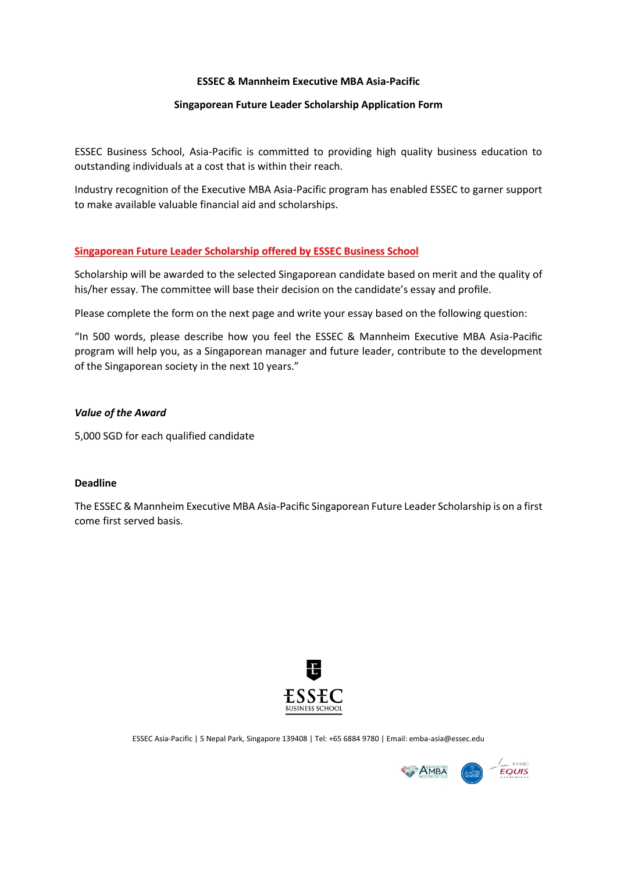### **ESSEC & Mannheim Executive MBA Asia-Pacific**

### **Singaporean Future Leader Scholarship Application Form**

ESSEC Business School, Asia-Pacific is committed to providing high quality business education to outstanding individuals at a cost that is within their reach.

Industry recognition of the Executive MBA Asia-Pacific program has enabled ESSEC to garner support to make available valuable financial aid and scholarships.

### **Singaporean Future Leader Scholarship offered by ESSEC Business School**

Scholarship will be awarded to the selected Singaporean candidate based on merit and the quality of his/her essay. The committee will base their decision on the candidate's essay and profile.

Please complete the form on the next page and write your essay based on the following question:

"In 500 words, please describe how you feel the ESSEC & Mannheim Executive MBA Asia-Pacific program will help you, as a Singaporean manager and future leader, contribute to the development of the Singaporean society in the next 10 years."

### *Value of the Award*

5,000 SGD for each qualified candidate

### **Deadline**

The ESSEC & Mannheim Executive MBA Asia-Pacific Singaporean Future Leader Scholarship is on a first come first served basis.



ESSEC Asia-Pacific | 5 Nepal Park, Singapore 139408 | Tel: +65 6884 9780 | Email: emba-asia@essec.edu

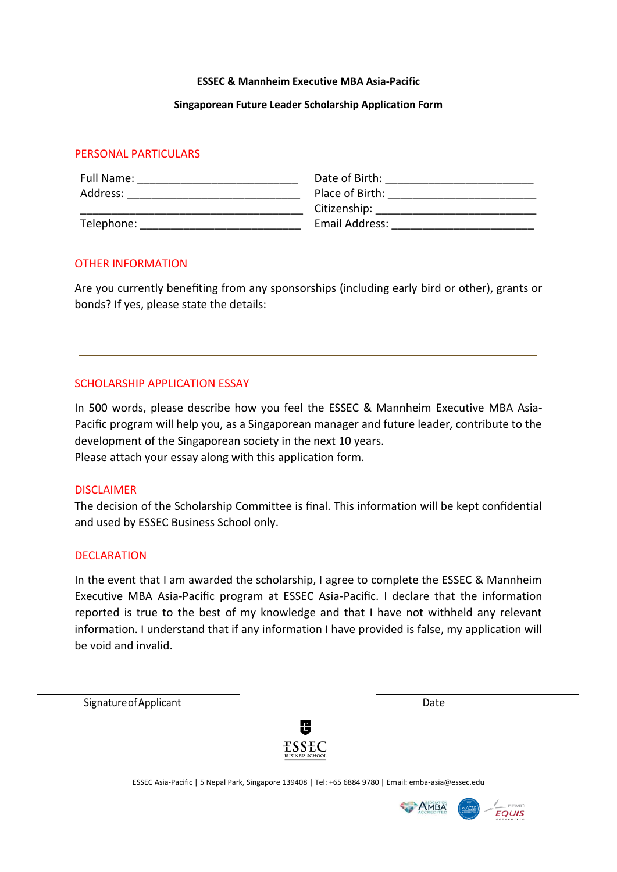### **ESSEC & Mannheim Executive MBA Asia-Pacific**

### **Singaporean Future Leader Scholarship Application Form**

# PERSONAL PARTICULARS

| Full Name: | Date of Birth:  |
|------------|-----------------|
| Address:   | Place of Birth: |
|            | Citizenship:    |
| Telephone: | Email Address:  |

# OTHER INFORMATION

Are you currently benefiting from any sponsorships (including early bird or other), grants or bonds? If yes, please state the details:

# SCHOLARSHIP APPLICATION ESSAY

In 500 words, please describe how you feel the ESSEC & Mannheim Executive MBA Asia-Pacific program will help you, as a Singaporean manager and future leader, contribute to the development of the Singaporean society in the next 10 years. Please attach your essay along with this application form.

# DISCLAIMER

The decision of the Scholarship Committee is final. This information will be kept confidential and used by ESSEC Business School only.

## DECLARATION

In the event that I am awarded the scholarship, I agree to complete the ESSEC & Mannheim Executive MBA Asia-Pacific program at ESSEC Asia-Pacific. I declare that the information reported is true to the best of my knowledge and that I have not withheld any relevant information. I understand that if any information I have provided is false, my application will be void and invalid.

Signature of Applicant Date Date Date Date



ESSEC Asia-Pacific | 5 Nepal Park, Singapore 139408 | Tel: +65 6884 9780 | Email: emba-asia@essec.edu